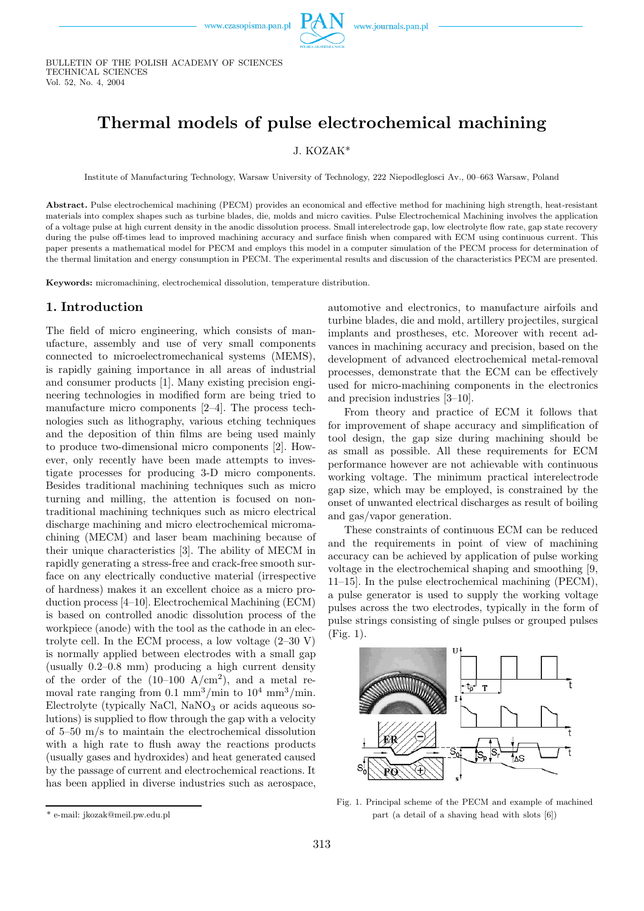

BULLETIN OF THE POLISH ACADEMY OF SCIENCES TECHNICAL SCIENCES Vol. 52, No. 4, 2004

# Thermal models of pulse electrochemical machining

#### J. KOZAK\*

Institute of Manufacturing Technology, Warsaw University of Technology, 222 Niepodleglosci Av., 00–663 Warsaw, Poland

Abstract. Pulse electrochemical machining (PECM) provides an economical and effective method for machining high strength, heat-resistant materials into complex shapes such as turbine blades, die, molds and micro cavities. Pulse Electrochemical Machining involves the application of a voltage pulse at high current density in the anodic dissolution process. Small interelectrode gap, low electrolyte flow rate, gap state recovery during the pulse off-times lead to improved machining accuracy and surface finish when compared with ECM using continuous current. This paper presents a mathematical model for PECM and employs this model in a computer simulation of the PECM process for determination of the thermal limitation and energy consumption in PECM. The experimental results and discussion of the characteristics PECM are presented.

Keywords: micromachining, electrochemical dissolution, temperature distribution.

### 1. Introduction

The field of micro engineering, which consists of manufacture, assembly and use of very small components connected to microelectromechanical systems (MEMS), is rapidly gaining importance in all areas of industrial and consumer products [1]. Many existing precision engineering technologies in modified form are being tried to manufacture micro components [2–4]. The process technologies such as lithography, various etching techniques and the deposition of thin films are being used mainly to produce two-dimensional micro components [2]. However, only recently have been made attempts to investigate processes for producing 3-D micro components. Besides traditional machining techniques such as micro turning and milling, the attention is focused on nontraditional machining techniques such as micro electrical discharge machining and micro electrochemical micromachining (MECM) and laser beam machining because of their unique characteristics [3]. The ability of MECM in rapidly generating a stress-free and crack-free smooth surface on any electrically conductive material (irrespective of hardness) makes it an excellent choice as a micro production process [4–10]. Electrochemical Machining (ECM) is based on controlled anodic dissolution process of the workpiece (anode) with the tool as the cathode in an electrolyte cell. In the ECM process, a low voltage  $(2-30 V)$ is normally applied between electrodes with a small gap (usually 0.2–0.8 mm) producing a high current density of the order of the  $(10-100 \text{ A/cm}^2)$ , and a metal removal rate ranging from  $0.1 \text{ mm}^3/\text{min}$  to  $10^4 \text{ mm}^3/\text{min}$ . Electrolyte (typically NaCl,  $NaNO<sub>3</sub>$  or acids aqueous solutions) is supplied to flow through the gap with a velocity of 5–50 m/s to maintain the electrochemical dissolution with a high rate to flush away the reactions products (usually gases and hydroxides) and heat generated caused by the passage of current and electrochemical reactions. It has been applied in diverse industries such as aerospace,

From theory and practice of ECM it follows that for improvement of shape accuracy and simplification of tool design, the gap size during machining should be as small as possible. All these requirements for ECM performance however are not achievable with continuous working voltage. The minimum practical interelectrode gapsize, which may be employed, is constrained by the onset of unwanted electrical discharges as result of boiling and gas/vapor generation.

These constraints of continuous ECM can be reduced and the requirements in point of view of machining accuracy can be achieved by application of pulse working voltage in the electrochemical shaping and smoothing [9, 11–15]. In the pulse electrochemical machining (PECM), a pulse generator is used to supply the working voltage pulses across the two electrodes, typically in the form of pulse strings consisting of single pulses or grouped pulses (Fig. 1).



Fig. 1. Principal scheme of the PECM and example of machined part (a detail of a shaving head with slots [6])

automotive and electronics, to manufacture airfoils and turbine blades, die and mold, artillery projectiles, surgical implants and prostheses, etc. Moreover with recent advances in machining accuracy and precision, based on the development of advanced electrochemical metal-removal processes, demonstrate that the ECM can be effectively used for micro-machining components in the electronics and precision industries [3–10].

<sup>\*</sup> e-mail: jkozak@meil.pw.edu.pl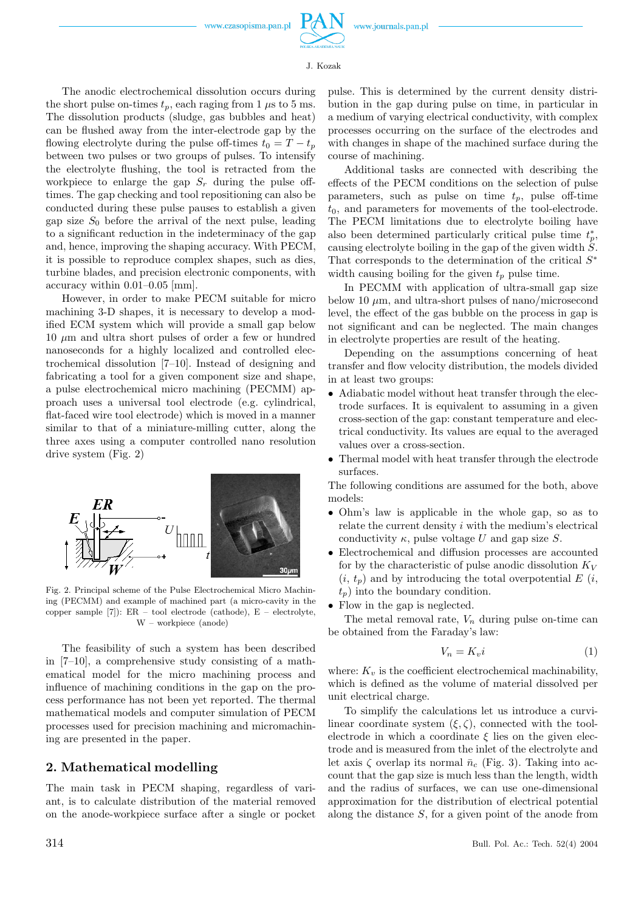The anodic electrochemical dissolution occurs during the short pulse on-times  $t_p$ , each raging from 1  $\mu$ s to 5 ms. The dissolution products (sludge, gas bubbles and heat) can be flushed away from the inter-electrode gapby the flowing electrolyte during the pulse off-times  $t_0 = T - t_p$ between two pulses or two groups of pulses. To intensify the electrolyte flushing, the tool is retracted from the workpiece to enlarge the gap  $S_r$  during the pulse offtimes. The gap checking and tool repositioning can also be conducted during these pulse pauses to establish a given gap size  $S_0$  before the arrival of the next pulse, leading to a significant reduction in the indeterminacy of the gap and, hence, improving the shaping accuracy. With PECM, it is possible to reproduce complex shapes, such as dies, turbine blades, and precision electronic components, with accuracy within 0.01–0.05 [mm].

However, in order to make PECM suitable for micro machining 3-D shapes, it is necessary to develop a modified ECM system which will provide a small gap below  $10 \mu m$  and ultra short pulses of order a few or hundred nanoseconds for a highly localized and controlled electrochemical dissolution [7–10]. Instead of designing and fabricating a tool for a given component size and shape. a pulse electrochemical micro machining (PECMM) approach uses a universal tool electrode (e.g. cylindrical, flat-faced wire tool electrode) which is moved in a manner similar to that of a miniature-milling cutter, along the three axes using a computer controlled nano resolution drive system (Fig. 2)



Fig. 2. Principal scheme of the Pulse Electrochemical Micro Machining (PECMM) and example of machined part (a micro-cavity in the copper sample [7]): ER – tool electrode (cathode), E – electrolyte, W – workpiece (anode)

The feasibility of such a system has been described in [7–10], a comprehensive study consisting of a mathematical model for the micro machining process and influence of machining conditions in the gapon the process performance has not been yet reported. The thermal mathematical models and computer simulation of PECM processes used for precision machining and micromachining are presented in the paper.

#### 2. Mathematical modelling

The main task in PECM shaping, regardless of variant, is to calculate distribution of the material removed on the anode-workpiece surface after a single or pocket pulse. This is determined by the current density distribution in the gap during pulse on time, in particular in a medium of varying electrical conductivity, with complex processes occurring on the surface of the electrodes and with changes in shape of the machined surface during the course of machining.

Additional tasks are connected with describing the effects of the PECM conditions on the selection of pulse parameters, such as pulse on time  $t_p$ , pulse off-time  $t_0$ , and parameters for movements of the tool-electrode. The PECM limitations due to electrolyte boiling have also been determined particularly critical pulse time  $t_p^*$ , causing electrolyte boiling in the gap of the given width  $\dot{S}$ . That corresponds to the determination of the critical  $S^*$ width causing boiling for the given  $t_p$  pulse time.

In PECMM with application of ultra-small gap size below 10  $\mu$ m, and ultra-short pulses of nano/microsecond level, the effect of the gas bubble on the process in gap is not significant and can be neglected. The main changes in electrolyte properties are result of the heating.

Depending on the assumptions concerning of heat transfer and flow velocity distribution, the models divided in at least two groups:

- Adiabatic model without heat transfer through the electrode surfaces. It is equivalent to assuming in a given cross-section of the gap: constant temperature and electrical conductivity. Its values are equal to the averaged values over a cross-section.
- Thermal model with heat transfer through the electrode surfaces.

The following conditions are assumed for the both, above models:

- Ohm's law is applicable in the whole gap, so as to relate the current density i with the medium's electrical conductivity  $\kappa$ , pulse voltage U and gap size S.
- Electrochemical and diffusion processes are accounted for by the characteristic of pulse anodic dissolution  $K_V$  $(i, t_p)$  and by introducing the total overpotential E  $(i, t_p)$  $t_n$ ) into the boundary condition.
- Flow in the gap is neglected.

The metal removal rate,  $V_n$  during pulse on-time can be obtained from the Faraday's law:

$$
V_n = K_v i \tag{1}
$$

where:  $K_v$  is the coefficient electrochemical machinability, which is defined as the volume of material dissolved per unit electrical charge.

To simplify the calculations let us introduce a curvilinear coordinate system  $(\xi, \zeta)$ , connected with the toolelectrode in which a coordinate  $\xi$  lies on the given electrode and is measured from the inlet of the electrolyte and let axis  $\zeta$  overlap its normal  $\bar{n}_c$  (Fig. 3). Taking into account that the gapsize is much less than the length, width and the radius of surfaces, we can use one-dimensional approximation for the distribution of electrical potential along the distance S, for a given point of the anode from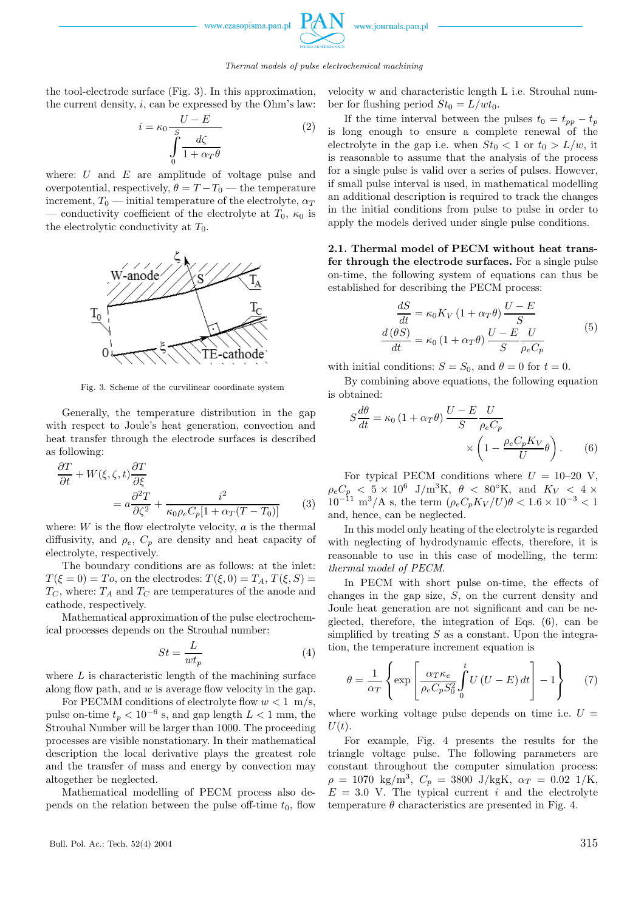www.czasonisma.nan.n



Thermal models of pulse electrochemical machining

the tool-electrode surface (Fig. 3). In this approximation, the current density,  $i$ , can be expressed by the Ohm's law:

$$
i = \kappa_0 \frac{U - E}{\int_{0}^{S} \frac{d\zeta}{1 + \alpha_T \theta}}
$$
 (2)

where:  $U$  and  $E$  are amplitude of voltage pulse and overpotential, respectively,  $\theta = T - T_0$  — the temperature increment,  $T_0$  — initial temperature of the electrolyte,  $\alpha_T$ — conductivity coefficient of the electrolyte at  $T_0$ ,  $\kappa_0$  is the electrolytic conductivity at  $T_0$ .



Fig. 3. Scheme of the curvilinear coordinate system

Generally, the temperature distribution in the gap with respect to Joule's heat generation, convection and heat transfer through the electrode surfaces is described as following:

$$
\frac{\partial T}{\partial t} + W(\xi, \zeta, t) \frac{\partial T}{\partial \xi} \n= a \frac{\partial^2 T}{\partial \zeta^2} + \frac{i^2}{\kappa_0 \rho_e C_p [1 + \alpha_T (T - T_0)]}
$$
\n(3)

where:  $W$  is the flow electrolyte velocity,  $a$  is the thermal diffusivity, and  $\rho_e$ ,  $C_p$  are density and heat capacity of electrolyte, respectively.

The boundary conditions are as follows: at the inlet:  $T(\xi = 0) = To$ , on the electrodes:  $T(\xi, 0) = T_A$ ,  $T(\xi, S) =$  $T_C$ , where:  $T_A$  and  $T_C$  are temperatures of the anode and cathode, respectively.

Mathematical approximation of the pulse electrochemical processes depends on the Strouhal number:

$$
St = \frac{L}{wt_p} \tag{4}
$$

where  $L$  is characteristic length of the machining surface along flow path, and  $w$  is average flow velocity in the gap.

For PECMM conditions of electrolyte flow  $w < 1$  m/s, pulse on-time  $t_p < 10^{-6}$  s, and gap length  $L < 1$  mm, the Strouhal Number will be larger than 1000. The proceeding processes are visible nonstationary. In their mathematical description the local derivative plays the greatest role and the transfer of mass and energy by convection may altogether be neglected.

Mathematical modelling of PECM process also depends on the relation between the pulse off-time  $t_0$ , flow velocity w and characteristic length L i.e. Strouhal number for flushing period  $St_0 = L/wt_0$ .

If the time interval between the pulses  $t_0 = t_{pp} - t_p$ is long enough to ensure a complete renewal of the electrolyte in the gap i.e. when  $St_0 < 1$  or  $t_0 > L/w$ , it is reasonable to assume that the analysis of the process for a single pulse is valid over a series of pulses. However, if small pulse interval is used, in mathematical modelling an additional description is required to track the changes in the initial conditions from pulse to pulse in order to apply the models derived under single pulse conditions.

2.1. Thermal model of PECM without heat transfer through the electrode surfaces. For a single pulse on-time, the following system of equations can thus be established for describing the PECM process:

$$
\frac{dS}{dt} = \kappa_0 K_V (1 + \alpha_T \theta) \frac{U - E}{S}
$$

$$
\frac{d(\theta S)}{dt} = \kappa_0 (1 + \alpha_T \theta) \frac{U - E}{S} \frac{U}{\rho_e C_p}
$$
(5)

with initial conditions:  $S = S_0$ , and  $\theta = 0$  for  $t = 0$ .

By combining above equations, the following equation is obtained:

$$
S\frac{d\theta}{dt} = \kappa_0 \left(1 + \alpha_T \theta\right) \frac{U - E}{S} \frac{U}{\rho_e C_p} \times \left(1 - \frac{\rho_e C_p K_V}{U} \theta\right). \tag{6}
$$

For typical PECM conditions where  $U = 10-20$  V,  $\rho_e C_p < 5 \times 10^6$  J/m<sup>3</sup>K,  $\theta < 80^\circ$ K, and  $K_V < 4 \times$  $10^{-11}$  m<sup>3</sup>/A s, the term  $(\rho_e C_p K_V/U) \theta < 1.6 \times 10^{-3} < 1$ and, hence, can be neglected.

In this model only heating of the electrolyte is regarded with neglecting of hydrodynamic effects, therefore, it is reasonable to use in this case of modelling, the term: thermal model of PECM.

In PECM with short pulse on-time, the effects of changes in the gap size,  $S$ , on the current density and Joule heat generation are not significant and can be neglected, therefore, the integration of Eqs. (6), can be simplified by treating  $S$  as a constant. Upon the integration, the temperature increment equation is

$$
\theta = \frac{1}{\alpha_T} \left\{ \exp \left[ \frac{\alpha_T \kappa_e}{\rho_e C_p S_0^2} \int_0^t U \left( U - E \right) dt \right] - 1 \right\} \tag{7}
$$

where working voltage pulse depends on time i.e.  $U =$  $U(t)$ .

For example, Fig. 4 presents the results for the triangle voltage pulse. The following parameters are constant throughout the computer simulation process:  $\rho = 1070 \text{ kg/m}^3$ ,  $C_p = 3800 \text{ J/kgK}$ ,  $\alpha_T = 0.02 \text{ J/K}$ ,  $E = 3.0$  V. The typical current i and the electrolyte temperature  $\theta$  characteristics are presented in Fig. 4.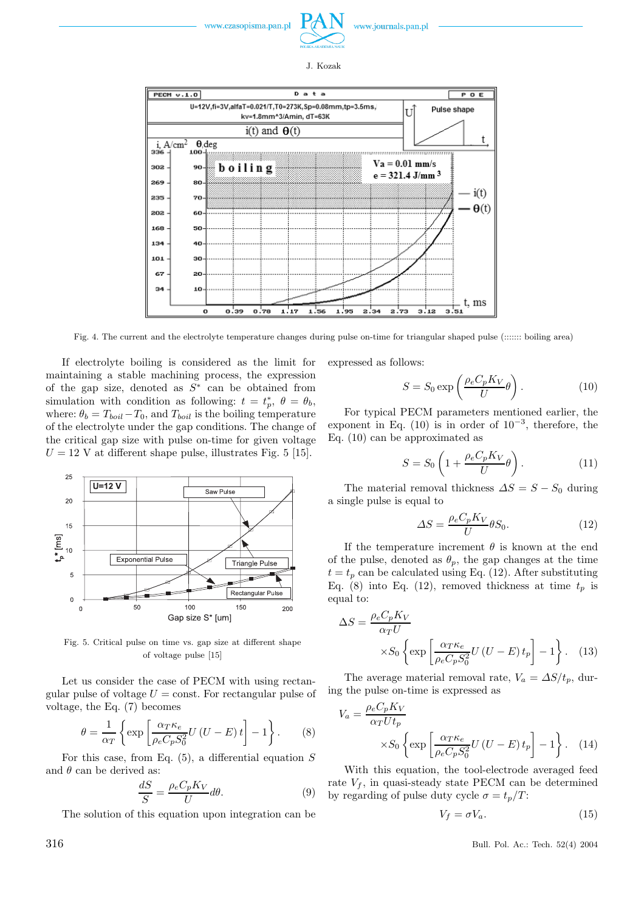

J. Kozak



Fig. 4. The current and the electrolyte temperature changes during pulse on-time for triangular shaped pulse (::::::: boiling area)

If electrolyte boiling is considered as the limit for maintaining a stable machining process, the expression of the gap size, denoted as  $S^*$  can be obtained from simulation with condition as following:  $t = t_p^*, \ \theta = \theta_b$ , where:  $\theta_b = T_{boil} - T_0$ , and  $T_{boil}$  is the boiling temperature of the electrolyte under the gapconditions. The change of the critical gapsize with pulse on-time for given voltage  $U = 12$  V at different shape pulse, illustrates Fig. 5 [15].



Fig. 5. Critical pulse on time vs. gap size at different shape of voltage pulse [15]

Let us consider the case of PECM with using rectangular pulse of voltage  $U = \text{const.}$  For rectangular pulse of voltage, the Eq. (7) becomes

$$
\theta = \frac{1}{\alpha_T} \left\{ \exp \left[ \frac{\alpha_T \kappa_e}{\rho_e C_p S_0^2} U \left( U - E \right) t \right] - 1 \right\}.
$$
 (8)

For this case, from Eq.  $(5)$ , a differential equation S and  $\theta$  can be derived as:

$$
\frac{dS}{S} = \frac{\rho_e C_p K_V}{U} d\theta.
$$
\n(9)

The solution of this equation upon integration can be

expressed as follows:

$$
S = S_0 \exp\left(\frac{\rho_e C_p K_V}{U} \theta\right). \tag{10}
$$

For typical PECM parameters mentioned earlier, the exponent in Eq. (10) is in order of  $10^{-3}$ , therefore, the Eq. (10) can be approximated as

$$
S = S_0 \left( 1 + \frac{\rho_e C_p K_V}{U} \theta \right). \tag{11}
$$

The material removal thickness  $\Delta S = S - S_0$  during a single pulse is equal to

$$
\Delta S = \frac{\rho_e C_p K_V}{U} \theta S_0. \tag{12}
$$

If the temperature increment  $\theta$  is known at the end of the pulse, denoted as  $\theta_p$ , the gap changes at the time  $t = t_p$  can be calculated using Eq. (12). After substituting Eq. (8) into Eq. (12), removed thickness at time  $t_p$  is equal to:

$$
\Delta S = \frac{\rho_e C_p K_V}{\alpha_T U} \times S_0 \left\{ \exp \left[ \frac{\alpha_T \kappa_e}{\rho_e C_p S_0^2} U \left( U - E \right) t_p \right] - 1 \right\}.
$$
 (13)

The average material removal rate,  $V_a = \Delta S/t_p$ , during the pulse on-time is expressed as

$$
V_a = \frac{\rho_e C_p K_V}{\alpha_T U t_p} \times S_0 \left\{ \exp \left[ \frac{\alpha_T \kappa_e}{\rho_e C_p S_0^2} U \left( U - E \right) t_p \right] - 1 \right\}.
$$
 (14)

With this equation, the tool-electrode averaged feed rate  $V_f$ , in quasi-steady state PECM can be determined by regarding of pulse duty cycle  $\sigma = t_p/T$ :

$$
V_f = \sigma V_a. \tag{15}
$$

316 Bull. Pol. Ac.: Tech. 52(4) 2004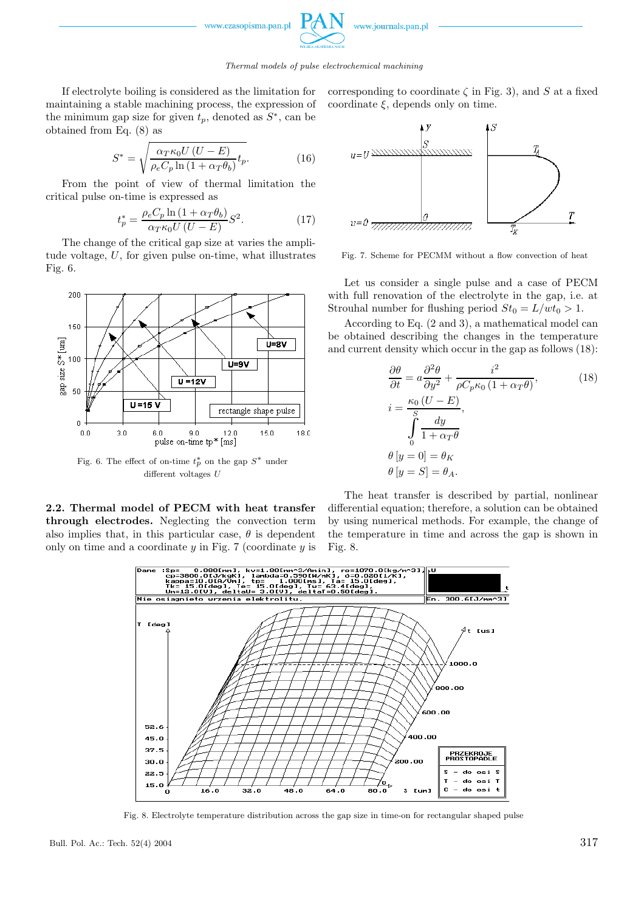

If electrolyte boiling is considered as the limitation for maintaining a stable machining process, the expression of the minimum gap size for given  $t_p$ , denoted as  $S^*$ , can be obtained from Eq. (8) as

$$
S^* = \sqrt{\frac{\alpha_T \kappa_0 U (U - E)}{\rho_e C_p \ln \left(1 + \alpha_T \theta_b\right)} t_p}.
$$
 (16)

From the point of view of thermal limitation the critical pulse on-time is expressed as

$$
t_p^* = \frac{\rho_e C_p \ln\left(1 + \alpha_T \theta_b\right)}{\alpha_T \kappa_0 U \left(U - E\right)} S^2.
$$
 (17)

The change of the critical gapsize at varies the amplitude voltage, U, for given pulse on-time, what illustrates Fig. 6.



Fig. 6. The effect of on-time  $t_p^*$  on the gap  $S^*$  under different voltages U

2.2. Thermal model of PECM with heat transfer through electrodes. Neglecting the convection term also implies that, in this particular case,  $\theta$  is dependent only on time and a coordinate  $y$  in Fig. 7 (coordinate  $y$  is corresponding to coordinate  $\zeta$  in Fig. 3), and S at a fixed coordinate  $\xi$ , depends only on time.



Fig. 7. Scheme for PECMM without a flow convection of heat

Let us consider a single pulse and a case of PECM with full renovation of the electrolyte in the gap, i.e. at Strouhal number for flushing period  $St_0 = L/wt_0 > 1$ .

According to Eq. (2 and 3), a mathematical model can be obtained describing the changes in the temperature and current density which occur in the gap as follows  $(18)$ :

$$
\frac{\partial \theta}{\partial t} = a \frac{\partial^2 \theta}{\partial y^2} + \frac{i^2}{\rho C_p \kappa_0 (1 + \alpha_T \theta)},
$$
\n
$$
i = \frac{\kappa_0 (U - E)}{\int_0^S \frac{dy}{1 + \alpha_T \theta}},
$$
\n
$$
\theta [y = 0] = \theta_K
$$
\n
$$
\theta [y = S] = \theta_A.
$$
\n(18)

The heat transfer is described by partial, nonlinear differential equation; therefore, a solution can be obtained by using numerical methods. For example, the change of the temperature in time and across the gap is shown in Fig. 8.



Fig. 8. Electrolyte temperature distribution across the gap size in time-on for rectangular shaped pulse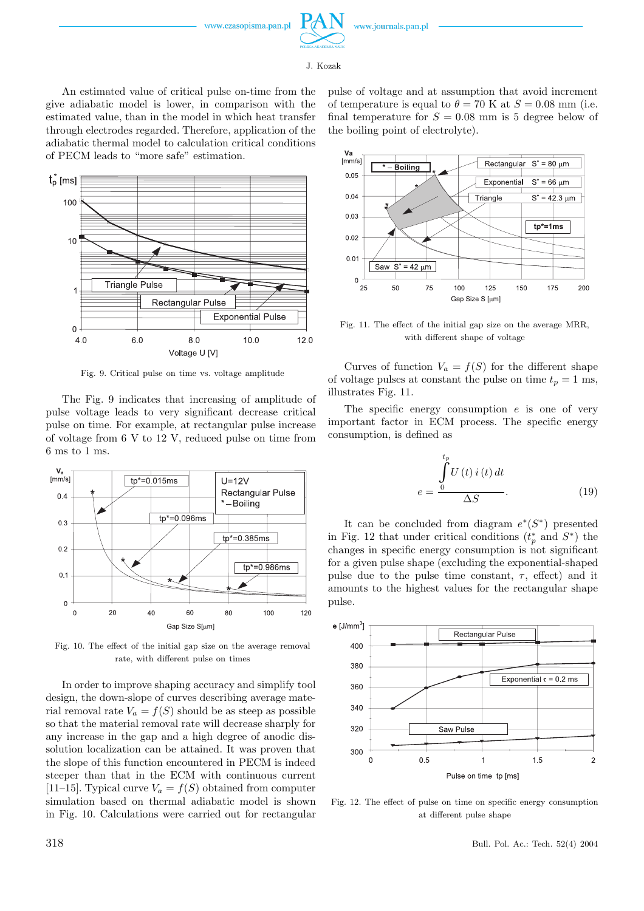

www.journals.pan.pl



An estimated value of critical pulse on-time from the give adiabatic model is lower, in comparison with the estimated value, than in the model in which heat transfer through electrodes regarded. Therefore, application of the adiabatic thermal model to calculation critical conditions of PECM leads to "more safe" estimation.



Fig. 9. Critical pulse on time vs. voltage amplitude

The Fig. 9 indicates that increasing of amplitude of pulse voltage leads to very significant decrease critical pulse on time. For example, at rectangular pulse increase of voltage from 6 V to 12 V, reduced pulse on time from 6 ms to 1 ms.



Fig. 10. The effect of the initial gap size on the average removal rate, with different pulse on times

In order to improve shaping accuracy and simplify tool design, the down-slope of curves describing average material removal rate  $V_a = f(S)$  should be as steep as possible so that the material removal rate will decrease sharply for any increase in the gapand a high degree of anodic dissolution localization can be attained. It was proven that the slope of this function encountered in PECM is indeed steeper than that in the ECM with continuous current [11–15]. Typical curve  $V_a = f(S)$  obtained from computer simulation based on thermal adiabatic model is shown in Fig. 10. Calculations were carried out for rectangular

pulse of voltage and at assumption that avoid increment of temperature is equal to  $\theta = 70$  K at  $S = 0.08$  mm (i.e. final temperature for  $S = 0.08$  mm is 5 degree below of the boiling point of electrolyte).



Fig. 11. The effect of the initial gap size on the average MRR, with different shape of voltage

Curves of function  $V_a = f(S)$  for the different shape of voltage pulses at constant the pulse on time  $t_p = 1$  ms, illustrates Fig. 11.

The specific energy consumption  $e$  is one of very important factor in ECM process. The specific energy consumption, is defined as

$$
e = \frac{\int_{0}^{t_p} U(t) i(t) dt}{\Delta S}.
$$
\n(19)

It can be concluded from diagram  $e^*(S^*)$  presented in Fig. 12 that under critical conditions  $(t_p^*$  and  $S^*)$  the changes in specific energy consumption is not significant for a given pulse shape (excluding the exponential-shaped pulse due to the pulse time constant,  $\tau$ , effect) and it amounts to the highest values for the rectangular shape pulse.



Fig. 12. The effect of pulse on time on specific energy consumption at different pulse shape

318 Bull. Pol. Ac.: Tech. 52(4) 2004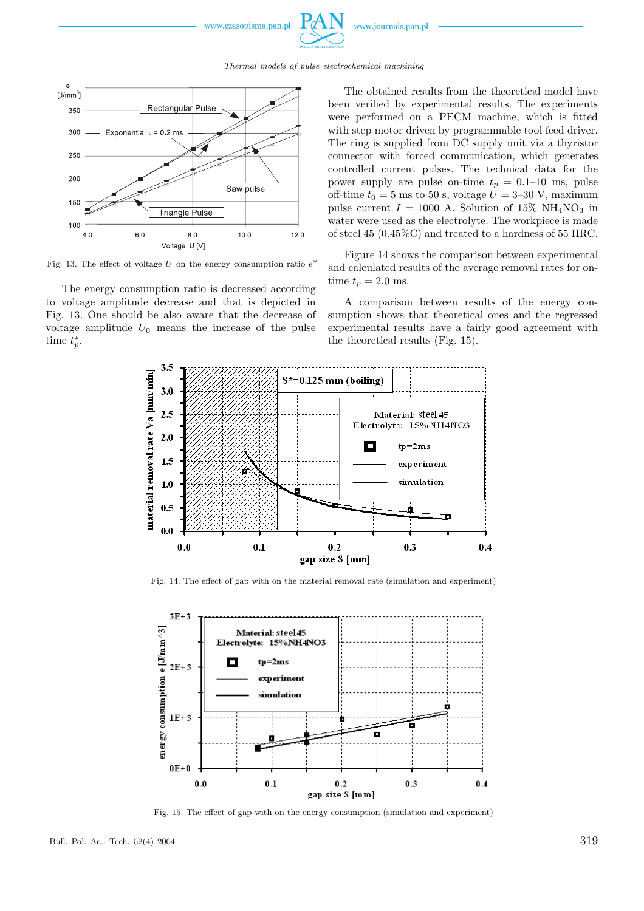

Thermal models of pulse electrochemical machining



Fig. 13. The effect of voltage U on the energy consumption ratio  $e^*$ 

The energy consumption ratio is decreased according to voltage amplitude decrease and that is depicted in Fig. 13. One should be also aware that the decrease of voltage amplitude  $U_0$  means the increase of the pulse time  $t_p^*$ .

The obtained results from the theoretical model have been verified by experimental results. The experiments were performed on a PECM machine, which is fitted with step motor driven by programmable tool feed driver. The ring is supplied from DC supply unit via a thyristor connector with forced communication, which generates controlled current pulses. The technical data for the power supply are pulse on-time  $t_p = 0.1{\text -}10$  ms, pulse off-time  $t_0 = 5$  ms to 50 s, voltage  $U = 3{\text -}30$  V, maximum pulse current  $I = 1000$  A. Solution of 15% NH<sub>4</sub>NO<sub>3</sub> in water were used as the electrolyte. The workpiece is made of steel 45 (0.45%C) and treated to a hardness of 55 HRC.

Figure 14 shows the comparison between experimental and calculated results of the average removal rates for ontime  $t_p = 2.0$  ms.

A comparison between results of the energy consumption shows that theoretical ones and the regressed experimental results have a fairly good agreement with the theoretical results (Fig. 15).



Fig. 14. The effect of gap with on the material removal rate (simulation and experiment)



Fig. 15. The effect of gap with on the energy consumption (simulation and experiment)